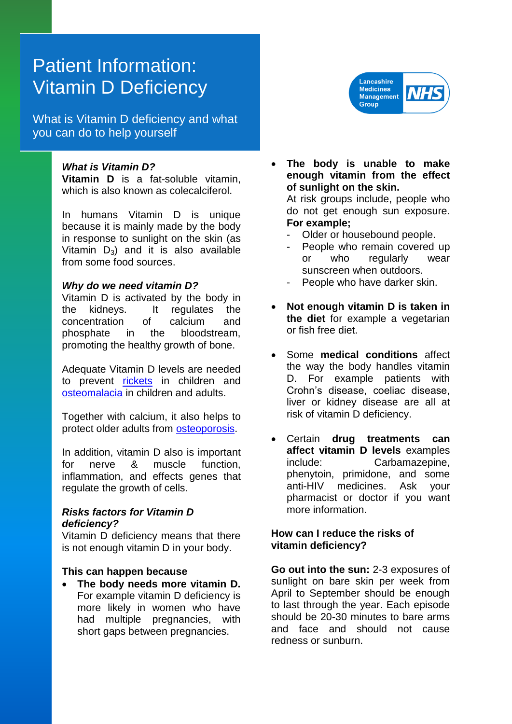# Patient Information: Vitamin D Deficiency

What is Vitamin D deficiency and what you can do to help yourself

# *What is Vitamin D?*

**Vitamin D** is a fat-soluble vitamin, which is also known as colecalciferol.

In humans Vitamin D is unique because it is mainly made by the body in response to sunlight on the skin (as Vitamin  $D_3$ ) and it is also available from some food sources.

#### *Why do we need vitamin D?*

Vitamin D is activated by the body in the kidneys. It regulates the concentration of calcium and phosphate in the bloodstream, promoting the healthy growth of bone.

Adequate Vitamin D levels are needed to prevent [rickets](http://en.wikipedia.org/wiki/Rickets) in children and [osteomalacia](http://en.wikipedia.org/wiki/Osteomalacia) in children and adults.

Together with calcium, it also helps to protect older adults from [osteoporosis.](http://en.wikipedia.org/wiki/Osteoporosis)

In addition, vitamin D also is important for nerve & muscle function, inflammation, and effects genes that regulate the growth of cells.

# *Risks factors for Vitamin D deficiency?*

Vitamin D deficiency means that there is not enough vitamin D in your body.

#### **This can happen because**

 **The body needs more vitamin D.** For example vitamin D deficiency is more likely in women who have had multiple pregnancies, with short gaps between pregnancies.



- **The body is unable to make enough vitamin from the effect of sunlight on the skin.** At risk groups include, people who do not get enough sun exposure. **For example;**
	- Older or housebound people.
	- People who remain covered up or who regularly wear sunscreen when outdoors.
	- People who have darker skin.
- **Not enough vitamin D is taken in the diet** for example a vegetarian or fish free diet.
- Some **medical conditions** affect the way the body handles vitamin D. For example patients with Crohn's disease, coeliac disease, liver or kidney disease are all at risk of vitamin D deficiency.
- Certain **drug treatments can affect vitamin D levels** examples include: Carbamazepine, phenytoin, primidone, and some anti-HIV medicines. Ask your pharmacist or doctor if you want more information.

# **How can I reduce the risks of vitamin deficiency?**

**Go out into the sun:** 2-3 exposures of sunlight on bare skin per week from April to September should be enough to last through the year. Each episode should be 20-30 minutes to bare arms and face and should not cause redness or sunburn.